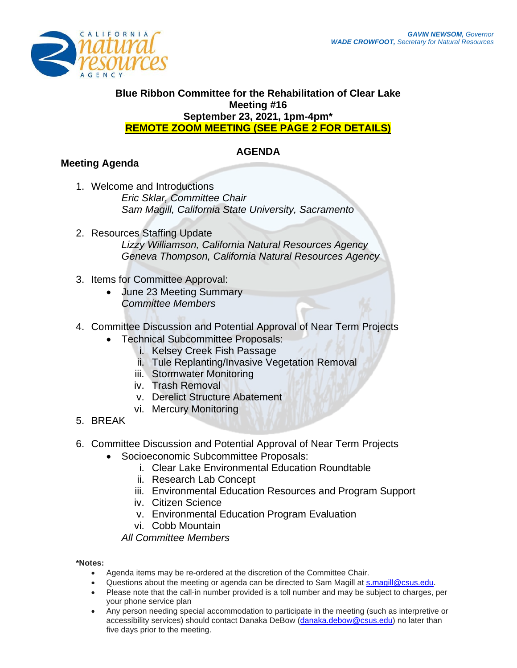

#### **Blue Ribbon Committee for the Rehabilitation of Clear Lake Meeting #16 September 23, 2021, 1pm-4pm\* REMOTE ZOOM MEETING (SEE PAGE 2 FOR DETAILS)**

## **AGENDA**

# **Meeting Agenda**

- 1. Welcome and Introductions *Eric Sklar, Committee Chair Sam Magill, California State University, Sacramento*
- 2. Resources Staffing Update *Lizzy Williamson, California Natural Resources Agency Geneva Thompson, California Natural Resources Agency*
- 3. Items for Committee Approval:
	- June 23 Meeting Summary *Committee Members*
- 4. Committee Discussion and Potential Approval of Near Term Projects
	- Technical Subcommittee Proposals:
		- i. Kelsey Creek Fish Passage
		- ii. Tule Replanting/Invasive Vegetation Removal
		- iii. Stormwater Monitoring
		- iv. Trash Removal
		- v. Derelict Structure Abatement
		- vi. Mercury Monitoring
- 5. BREAK
- 6. Committee Discussion and Potential Approval of Near Term Projects
	- Socioeconomic Subcommittee Proposals:
		- i. Clear Lake Environmental Education Roundtable
		- ii. Research Lab Concept
		- iii. Environmental Education Resources and Program Support
		- iv. Citizen Science
		- v. Environmental Education Program Evaluation
		- vi. Cobb Mountain

*All Committee Members* 

#### **\*Notes:**

- Agenda items may be re-ordered at the discretion of the Committee Chair.
- Questions about the meeting or agenda can be directed to Sam Magill at **s.magill@csus.edu**.
- Please note that the call-in number provided is a toll number and may be subject to charges, per your phone service plan
- Any person needing special accommodation to participate in the meeting (such as interpretive or accessibility services) should contact Danaka DeBow [\(danaka.debow@csus.edu\)](mailto:danaka.debow@csus.edu) no later than five days prior to the meeting.